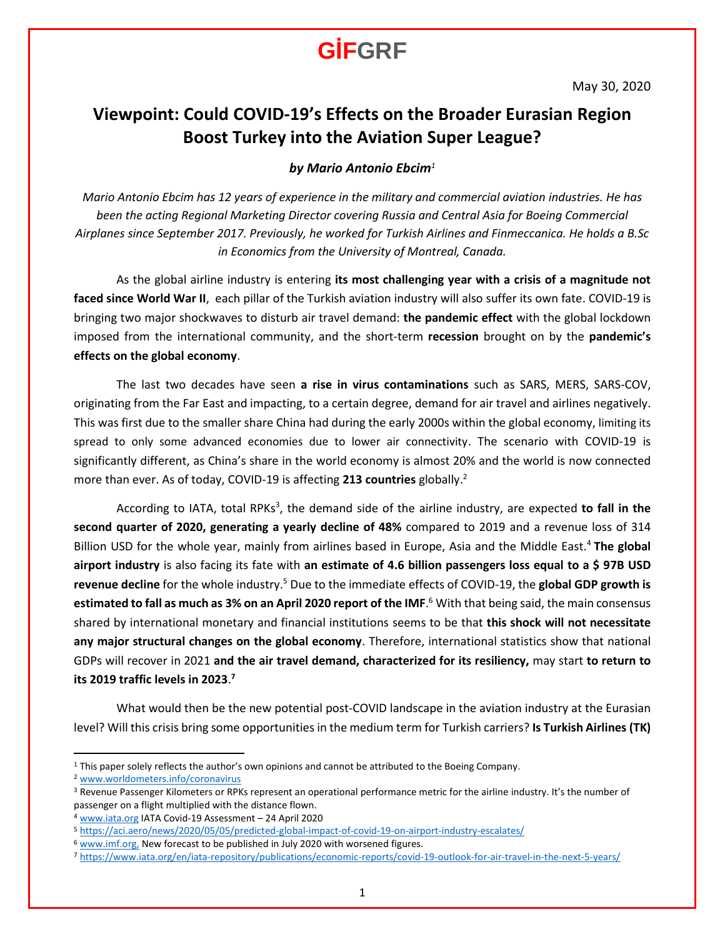### **Viewpoint: Could COVID-19's Effects on the Broader Eurasian Region Boost Turkey into the Aviation Super League?**

### *by Mario Antonio Ebcim<sup>1</sup>*

*Mario Antonio Ebcim has 12 years of experience in the military and commercial aviation industries. He has been the acting Regional Marketing Director covering Russia and Central Asia for Boeing Commercial Airplanes since September 2017. Previously, he worked for Turkish Airlines and Finmeccanica. He holds a B.Sc in Economics from the University of Montreal, Canada.*

As the global airline industry is entering **its most challenging year with a crisis of a magnitude not faced since World War II**, each pillar of the Turkish aviation industry will also suffer its own fate. COVID-19 is bringing two major shockwaves to disturb air travel demand: **the pandemic effect** with the global lockdown imposed from the international community, and the short-term **recession** brought on by the **pandemic's effects on the global economy**.

The last two decades have seen **a rise in virus contaminations** such as SARS, MERS, SARS-COV, originating from the Far East and impacting, to a certain degree, demand for air travel and airlines negatively. This was first due to the smaller share China had during the early 2000s within the global economy, limiting its spread to only some advanced economies due to lower air connectivity. The scenario with COVID-19 is significantly different, as China's share in the world economy is almost 20% and the world is now connected more than ever. As of today, COVID-19 is affecting **213 countries** globally.<sup>2</sup>

According to IATA, total RPKs<sup>3</sup>, the demand side of the airline industry, are expected to fall in the **second quarter of 2020, generating a yearly decline of 48%** compared to 2019 and a revenue loss of 314 Billion USD for the whole year, mainly from airlines based in Europe, Asia and the Middle East.<sup>4</sup> **The global airport industry** is also facing its fate with **an estimate of 4.6 billion passengers loss equal to a \$ 97B USD revenue decline** for the whole industry.<sup>5</sup> Due to the immediate effects of COVID-19, the **global GDP growth is estimated to fall as much as 3% on an April 2020 report of the IMF**. <sup>6</sup> With that being said, the main consensus shared by international monetary and financial institutions seems to be that **this shock will not necessitate any major structural changes on the global economy**. Therefore, international statistics show that national GDPs will recover in 2021 **and the air travel demand, characterized for its resiliency,** may start **to return to its 2019 traffic levels in 2023**. **7**

What would then be the new potential post-COVID landscape in the aviation industry at the Eurasian level? Will this crisis bring some opportunities in the medium term for Turkish carriers? **Is Turkish Airlines (TK)**

<sup>&</sup>lt;sup>1</sup> This paper solely reflects the author's own opinions and cannot be attributed to the Boeing Company.

<sup>2</sup> [www.worldometers.info/coronavirus](http://www.worldometers.info/coronavirus) 

<sup>3</sup> Revenue Passenger Kilometers or RPKs represent an operational performance metric for the airline industry. It's the number of passenger on a flight multiplied with the distance flown.

<sup>4</sup> [www.iata.org](http://www.iata.org/) IATA Covid-19 Assessment – 24 April 2020

<sup>5</sup> <https://aci.aero/news/2020/05/05/predicted-global-impact-of-covid-19-on-airport-industry-escalates/>

<sup>&</sup>lt;sup>6</sup> [www.imf.org,](http://www.imf.org/) New forecast to be published in July 2020 with worsened figures.

<sup>7</sup> https://www.iata.org/en/iata-repository/publications/economic-reports/covid-19-outlook-for-air-travel-in-the-next-5-years/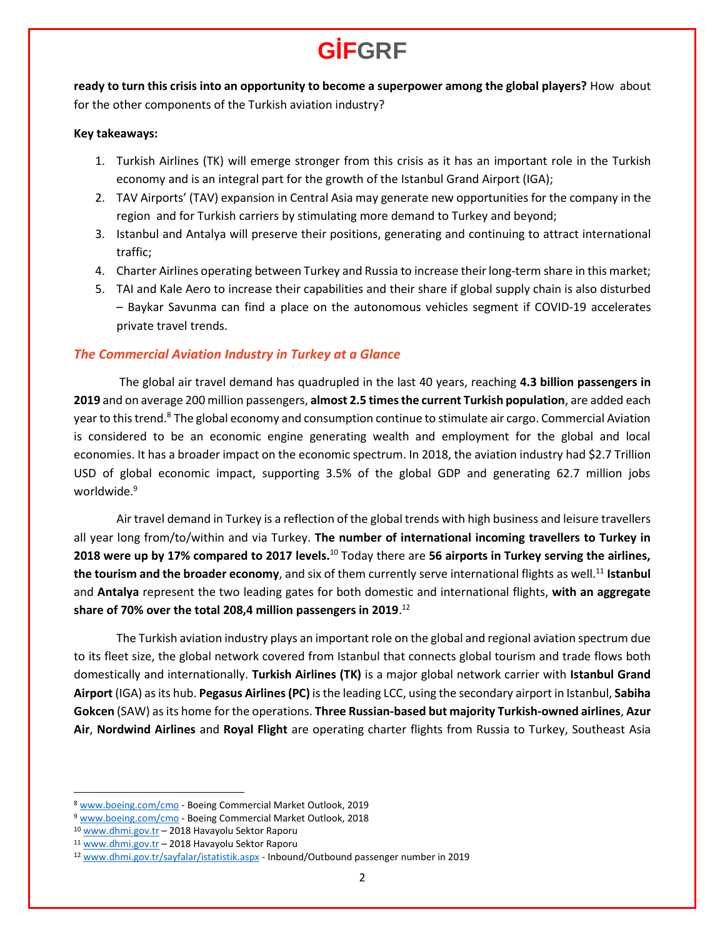**ready to turn this crisis into an opportunity to become a superpower among the global players?** How about for the other components of the Turkish aviation industry?

#### **Key takeaways:**

- 1. Turkish Airlines (TK) will emerge stronger from this crisis as it has an important role in the Turkish economy and is an integral part for the growth of the Istanbul Grand Airport (IGA);
- 2. TAV Airports' (TAV) expansion in Central Asia may generate new opportunities for the company in the region and for Turkish carriers by stimulating more demand to Turkey and beyond;
- 3. Istanbul and Antalya will preserve their positions, generating and continuing to attract international traffic;
- 4. Charter Airlines operating between Turkey and Russia to increase their long-term share in this market;
- 5. TAI and Kale Aero to increase their capabilities and their share if global supply chain is also disturbed – Baykar Savunma can find a place on the autonomous vehicles segment if COVID-19 accelerates private travel trends.

### *The Commercial Aviation Industry in Turkey at a Glance*

The global air travel demand has quadrupled in the last 40 years, reaching **4.3 billion passengers in 2019** and on average 200 million passengers, **almost 2.5 times the current Turkish population**, are added each year to this trend.<sup>8</sup> The global economy and consumption continue to stimulate air cargo. Commercial Aviation is considered to be an economic engine generating wealth and employment for the global and local economies. It has a broader impact on the economic spectrum. In 2018, the aviation industry had \$2.7 Trillion USD of global economic impact, supporting 3.5% of the global GDP and generating 62.7 million jobs worldwide.<sup>9</sup>

Air travel demand in Turkey is a reflection of the global trends with high business and leisure travellers all year long from/to/within and via Turkey. **The number of international incoming travellers to Turkey in 2018 were up by 17% compared to 2017 levels.<sup>10</sup> Today there are 56 airports in Turkey serving the airlines, the tourism and the broader economy**, and six of them currently serve international flights as well. <sup>11</sup> **Istanbul** and **Antalya** represent the two leading gates for both domestic and international flights, **with an aggregate share of 70% over the total 208,4 million passengers in 2019**. 12

The Turkish aviation industry plays an important role on the global and regional aviation spectrum due to its fleet size, the global network covered from Istanbul that connects global tourism and trade flows both domestically and internationally. **Turkish Airlines (TK)** is a major global network carrier with **Istanbul Grand Airport** (IGA) as its hub. **Pegasus Airlines(PC)** is the leading LCC, using the secondary airport in Istanbul, **Sabiha Gokcen** (SAW) as its home for the operations. **Three Russian-based but majority Turkish-owned airlines**, **Azur Air**, **Nordwind Airlines** and **Royal Flight** are operating charter flights from Russia to Turkey, Southeast Asia

<sup>8</sup> [www.boeing.com/cmo](http://www.boeing.com/cmo) - Boeing Commercial Market Outlook, 2019

<sup>9</sup> [www.boeing.com/cmo](http://www.boeing.com/cmo) - Boeing Commercial Market Outlook, 2018

<sup>10</sup> [www.dhmi.gov.tr](http://www.dhmi.gov.tr/) – 2018 Havayolu Sektor Raporu

<sup>11</sup> [www.dhmi.gov.tr](http://www.dhmi.gov.tr/) – 2018 Havayolu Sektor Raporu

<sup>12</sup> [www.dhmi.gov.tr/sayfalar/istatistik.aspx](http://www.dhmi.gov.tr/sayfalar/istatistik.aspx) - Inbound/Outbound passenger number in 2019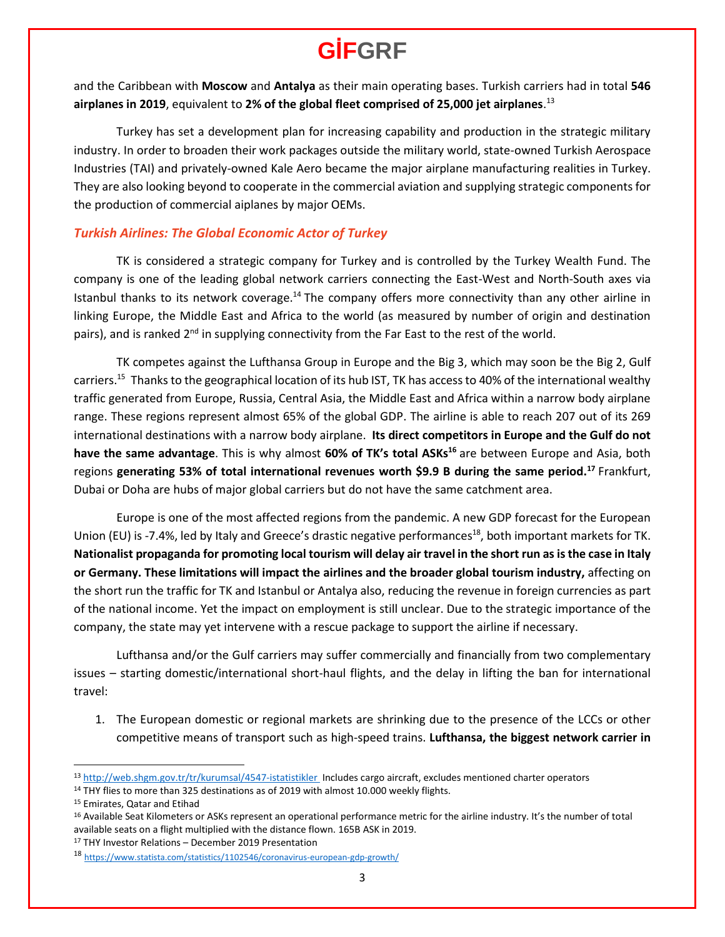and the Caribbean with **Moscow** and **Antalya** as their main operating bases. Turkish carriers had in total **546 airplanes in 2019**, equivalent to **2% of the global fleet comprised of 25,000 jet airplanes**. 13

Turkey has set a development plan for increasing capability and production in the strategic military industry. In order to broaden their work packages outside the military world, state-owned Turkish Aerospace Industries (TAI) and privately-owned Kale Aero became the major airplane manufacturing realities in Turkey. They are also looking beyond to cooperate in the commercial aviation and supplying strategic components for the production of commercial aiplanes by major OEMs.

### *Turkish Airlines: The Global Economic Actor of Turkey*

TK is considered a strategic company for Turkey and is controlled by the Turkey Wealth Fund. The company is one of the leading global network carriers connecting the East-West and North-South axes via Istanbul thanks to its network coverage.<sup>14</sup> The company offers more connectivity than any other airline in linking Europe, the Middle East and Africa to the world (as measured by number of origin and destination pairs), and is ranked  $2<sup>nd</sup>$  in supplying connectivity from the Far East to the rest of the world.

TK competes against the Lufthansa Group in Europe and the Big 3, which may soon be the Big 2, Gulf carriers.<sup>15</sup> Thanks to the geographical location of its hub IST, TK has access to 40% of the international wealthy traffic generated from Europe, Russia, Central Asia, the Middle East and Africa within a narrow body airplane range. These regions represent almost 65% of the global GDP. The airline is able to reach 207 out of its 269 international destinations with a narrow body airplane. **Its direct competitors in Europe and the Gulf do not have the same advantage**. This is why almost **60% of TK's total ASKs<sup>16</sup>** are between Europe and Asia, both regions **generating 53% of total international revenues worth \$9.9 B during the same period.<sup>17</sup>** Frankfurt, Dubai or Doha are hubs of major global carriers but do not have the same catchment area.

Europe is one of the most affected regions from the pandemic. A new GDP forecast for the European Union (EU) is -7.4%, led by Italy and Greece's drastic negative performances<sup>18</sup>, both important markets for TK. **Nationalist propaganda for promoting local tourism will delay air travel in the short run as is the case in Italy or Germany. These limitations will impact the airlines and the broader global tourism industry,** affecting on the short run the traffic for TK and Istanbul or Antalya also, reducing the revenue in foreign currencies as part of the national income. Yet the impact on employment is still unclear. Due to the strategic importance of the company, the state may yet intervene with a rescue package to support the airline if necessary.

Lufthansa and/or the Gulf carriers may suffer commercially and financially from two complementary issues – starting domestic/international short-haul flights, and the delay in lifting the ban for international travel:

1. The European domestic or regional markets are shrinking due to the presence of the LCCs or other competitive means of transport such as high-speed trains. **Lufthansa, the biggest network carrier in** 

<sup>13</sup> <http://web.shgm.gov.tr/tr/kurumsal/4547-istatistikler> Includes cargo aircraft, excludes mentioned charter operators

<sup>&</sup>lt;sup>14</sup> THY flies to more than 325 destinations as of 2019 with almost 10.000 weekly flights.

<sup>15</sup> Emirates, Qatar and Etihad

<sup>&</sup>lt;sup>16</sup> Available Seat Kilometers or ASKs represent an operational performance metric for the airline industry. It's the number of total available seats on a flight multiplied with the distance flown. 165B ASK in 2019.

<sup>17</sup> THY Investor Relations – December 2019 Presentation

<sup>18</sup> <https://www.statista.com/statistics/1102546/coronavirus-european-gdp-growth/>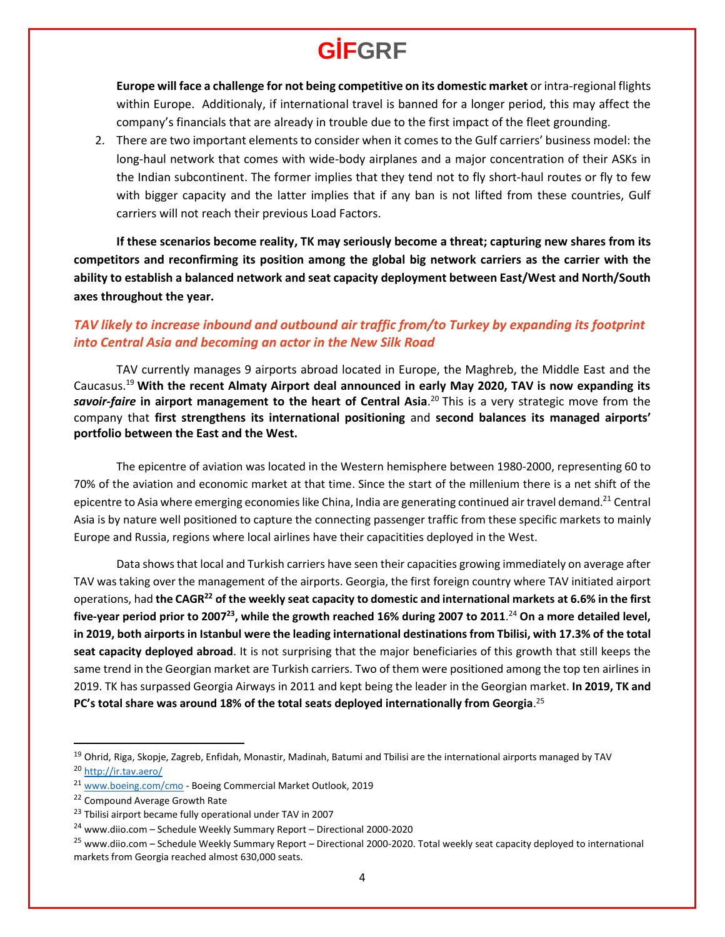**Europe will face a challenge for not being competitive on its domestic market** or intra-regional flights within Europe. Additionaly, if international travel is banned for a longer period, this may affect the company's financials that are already in trouble due to the first impact of the fleet grounding.

2. There are two important elements to consider when it comes to the Gulf carriers' business model: the long-haul network that comes with wide-body airplanes and a major concentration of their ASKs in the Indian subcontinent. The former implies that they tend not to fly short-haul routes or fly to few with bigger capacity and the latter implies that if any ban is not lifted from these countries, Gulf carriers will not reach their previous Load Factors.

**If these scenarios become reality, TK may seriously become a threat; capturing new shares from its competitors and reconfirming its position among the global big network carriers as the carrier with the ability to establish a balanced network and seat capacity deployment between East/West and North/South axes throughout the year.**

### *TAV likely to increase inbound and outbound air traffic from/to Turkey by expanding its footprint into Central Asia and becoming an actor in the New Silk Road*

TAV currently manages 9 airports abroad located in Europe, the Maghreb, the Middle East and the Caucasus.<sup>19</sup> **With the recent Almaty Airport deal announced in early May 2020, TAV is now expanding its**  *savoir-faire* **in airport management to the heart of Central Asia**. <sup>20</sup> This is a very strategic move from the company that **first strengthens its international positioning** and **second balances its managed airports' portfolio between the East and the West.**

The epicentre of aviation was located in the Western hemisphere between 1980-2000, representing 60 to 70% of the aviation and economic market at that time. Since the start of the millenium there is a net shift of the epicentre to Asia where emerging economies like China, India are generating continued air travel demand.<sup>21</sup> Central Asia is by nature well positioned to capture the connecting passenger traffic from these specific markets to mainly Europe and Russia, regions where local airlines have their capacitities deployed in the West.

Data showsthat local and Turkish carriers have seen their capacities growing immediately on average after TAV was taking over the management of the airports. Georgia, the first foreign country where TAV initiated airport operations, had **the CAGR<sup>22</sup> of the weekly seat capacity to domestic and international markets at 6.6% in the first five-year period prior to 2007<sup>23</sup> , while the growth reached 16% during 2007 to 2011**. <sup>24</sup> **On a more detailed level, in 2019, both airports in Istanbul were the leading international destinations from Tbilisi, with 17.3% of the total seat capacity deployed abroad**. It is not surprising that the major beneficiaries of this growth that still keeps the same trend in the Georgian market are Turkish carriers. Two of them were positioned among the top ten airlines in 2019. TK has surpassed Georgia Airways in 2011 and kept being the leader in the Georgian market. **In 2019, TK and PC's total share was around 18% of the total seats deployed internationally from Georgia**. 25

<sup>19</sup> Ohrid, Riga, Skopje, Zagreb, Enfidah, Monastir, Madinah, Batumi and Tbilisi are the international airports managed by TAV <sup>20</sup> http://ir.tav.aero/

<sup>&</sup>lt;sup>21</sup> [www.boeing.com/cmo](http://www.boeing.com/cmo) - Boeing Commercial Market Outlook, 2019

<sup>22</sup> Compound Average Growth Rate

<sup>&</sup>lt;sup>23</sup> Tbilisi airport became fully operational under TAV in 2007

<sup>24</sup> [www.diio.com](http://www.diio.com/) – Schedule Weekly Summary Report – Directional 2000-2020

<sup>&</sup>lt;sup>25</sup> [www.diio.com](http://www.diio.com/) – Schedule Weekly Summary Report – Directional 2000-2020. Total weekly seat capacity deployed to international markets from Georgia reached almost 630,000 seats.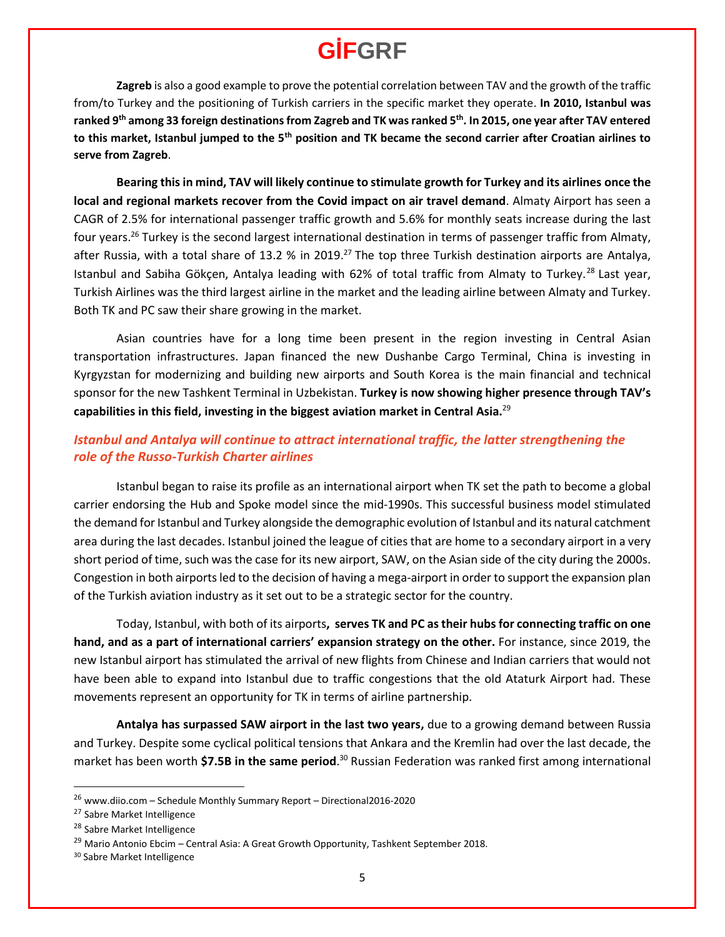**Zagreb** is also a good example to prove the potential correlation between TAV and the growth of the traffic from/to Turkey and the positioning of Turkish carriers in the specific market they operate. **In 2010, Istanbul was ranked 9th among 33 foreign destinationsfrom Zagreb and TK was ranked 5th. In 2015, one year after TAV entered to this market, Istanbul jumped to the 5th position and TK became the second carrier after Croatian airlines to serve from Zagreb**.

**Bearing this in mind, TAV will likely continue to stimulate growth for Turkey and its airlines once the local and regional markets recover from the Covid impact on air travel demand**. Almaty Airport has seen a CAGR of 2.5% for international passenger traffic growth and 5.6% for monthly seats increase during the last four years.<sup>26</sup> Turkey is the second largest international destination in terms of passenger traffic from Almaty, after Russia, with a total share of 13.2 % in 2019.<sup>27</sup> The top three Turkish destination airports are Antalya, Istanbul and Sabiha Gökçen, Antalya leading with 62% of total traffic from Almaty to Turkey.<sup>28</sup> Last year, Turkish Airlines was the third largest airline in the market and the leading airline between Almaty and Turkey. Both TK and PC saw their share growing in the market.

Asian countries have for a long time been present in the region investing in Central Asian transportation infrastructures. Japan financed the new Dushanbe Cargo Terminal, China is investing in Kyrgyzstan for modernizing and building new airports and South Korea is the main financial and technical sponsor for the new Tashkent Terminal in Uzbekistan. **Turkey is now showing higher presence through TAV's capabilities in this field, investing in the biggest aviation market in Central Asia.**<sup>29</sup>

### *Istanbul and Antalya will continue to attract international traffic, the latter strengthening the role of the Russo-Turkish Charter airlines*

Istanbul began to raise its profile as an international airport when TK set the path to become a global carrier endorsing the Hub and Spoke model since the mid-1990s. This successful business model stimulated the demand for Istanbul and Turkey alongside the demographic evolution of Istanbul and its natural catchment area during the last decades. Istanbul joined the league of cities that are home to a secondary airport in a very short period of time, such was the case for its new airport, SAW, on the Asian side of the city during the 2000s. Congestion in both airports led to the decision of having a mega-airport in order to support the expansion plan of the Turkish aviation industry as it set out to be a strategic sector for the country.

Today, Istanbul, with both of its airports**, serves TK and PC as their hubs for connecting traffic on one hand, and as a part of international carriers' expansion strategy on the other.** For instance, since 2019, the new Istanbul airport has stimulated the arrival of new flights from Chinese and Indian carriers that would not have been able to expand into Istanbul due to traffic congestions that the old Ataturk Airport had. These movements represent an opportunity for TK in terms of airline partnership.

**Antalya has surpassed SAW airport in the last two years,** due to a growing demand between Russia and Turkey. Despite some cyclical political tensions that Ankara and the Kremlin had over the last decade, the market has been worth \$7.5B in the same period.<sup>30</sup> Russian Federation was ranked first among international

<sup>26</sup> [www.diio.com](http://www.diio.com/) – Schedule Monthly Summary Report – Directional2016-2020

<sup>27</sup> Sabre Market Intelligence

<sup>28</sup> Sabre Market Intelligence

<sup>&</sup>lt;sup>29</sup> Mario Antonio Ebcim – Central Asia: A Great Growth Opportunity, Tashkent September 2018.

<sup>30</sup> Sabre Market Intelligence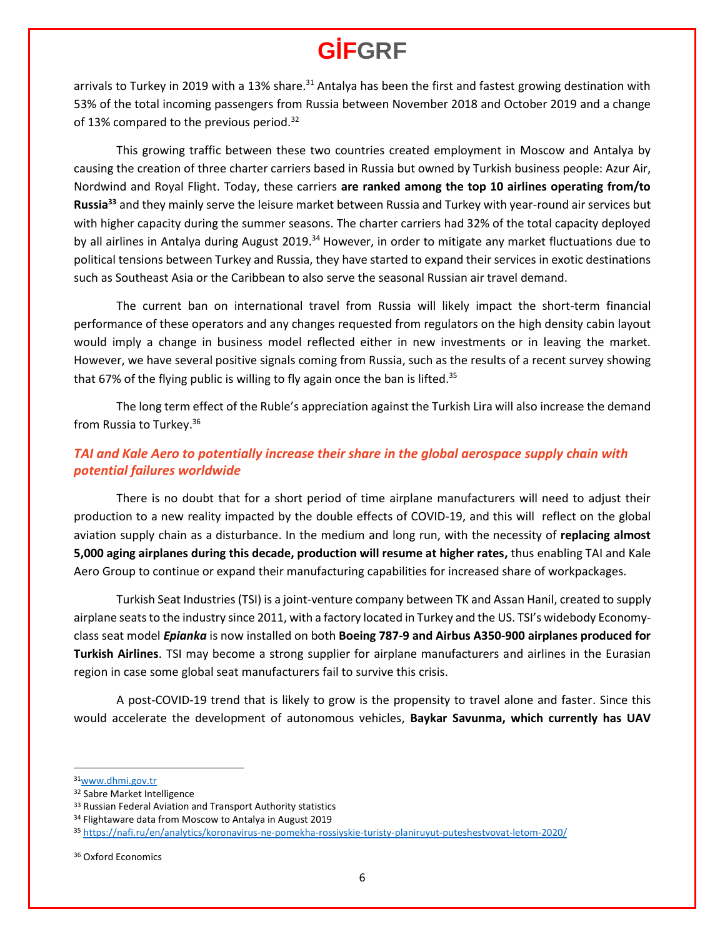arrivals to Turkey in 2019 with a 13% share.<sup>31</sup> Antalya has been the first and fastest growing destination with 53% of the total incoming passengers from Russia between November 2018 and October 2019 and a change of 13% compared to the previous period.<sup>32</sup>

This growing traffic between these two countries created employment in Moscow and Antalya by causing the creation of three charter carriers based in Russia but owned by Turkish business people: Azur Air, Nordwind and Royal Flight. Today, these carriers **are ranked among the top 10 airlines operating from/to Russia<sup>33</sup>** and they mainly serve the leisure market between Russia and Turkey with year-round air services but with higher capacity during the summer seasons. The charter carriers had 32% of the total capacity deployed by all airlines in Antalya during August 2019.<sup>34</sup> However, in order to mitigate any market fluctuations due to political tensions between Turkey and Russia, they have started to expand their services in exotic destinations such as Southeast Asia or the Caribbean to also serve the seasonal Russian air travel demand.

The current ban on international travel from Russia will likely impact the short-term financial performance of these operators and any changes requested from regulators on the high density cabin layout would imply a change in business model reflected either in new investments or in leaving the market. However, we have several positive signals coming from Russia, such as the results of a recent survey showing that 67% of the flying public is willing to fly again once the ban is lifted.<sup>35</sup>

The long term effect of the Ruble's appreciation against the Turkish Lira will also increase the demand from Russia to Turkey. 36

### *TAI and Kale Aero to potentially increase their share in the global aerospace supply chain with potential failures worldwide*

There is no doubt that for a short period of time airplane manufacturers will need to adjust their production to a new reality impacted by the double effects of COVID-19, and this will reflect on the global aviation supply chain as a disturbance. In the medium and long run, with the necessity of **replacing almost 5,000 aging airplanes during this decade, production will resume at higher rates,** thus enabling TAI and Kale Aero Group to continue or expand their manufacturing capabilities for increased share of workpackages.

Turkish Seat Industries (TSI) is a joint-venture company between TK and Assan Hanil, created to supply airplane seats to the industry since 2011, with a factory located in Turkey and the US. TSI's widebody Economyclass seat model *Epianka* is now installed on both **Boeing 787-9 and Airbus A350-900 airplanes produced for Turkish Airlines**. TSI may become a strong supplier for airplane manufacturers and airlines in the Eurasian region in case some global seat manufacturers fail to survive this crisis.

A post-COVID-19 trend that is likely to grow is the propensity to travel alone and faster. Since this would accelerate the development of autonomous vehicles, **Baykar Savunma, which currently has UAV** 

<sup>31</sup>[www.dhmi.gov.tr](http://www.dhmi.gov.tr/)

<sup>32</sup> Sabre Market Intelligence

<sup>33</sup> Russian Federal Aviation and Transport Authority statistics

<sup>34</sup> Flightaware data from Moscow to Antalya in August 2019

<sup>35</sup> <https://nafi.ru/en/analytics/koronavirus-ne-pomekha-rossiyskie-turisty-planiruyut-puteshestvovat-letom-2020/>

<sup>36</sup> Oxford Economics